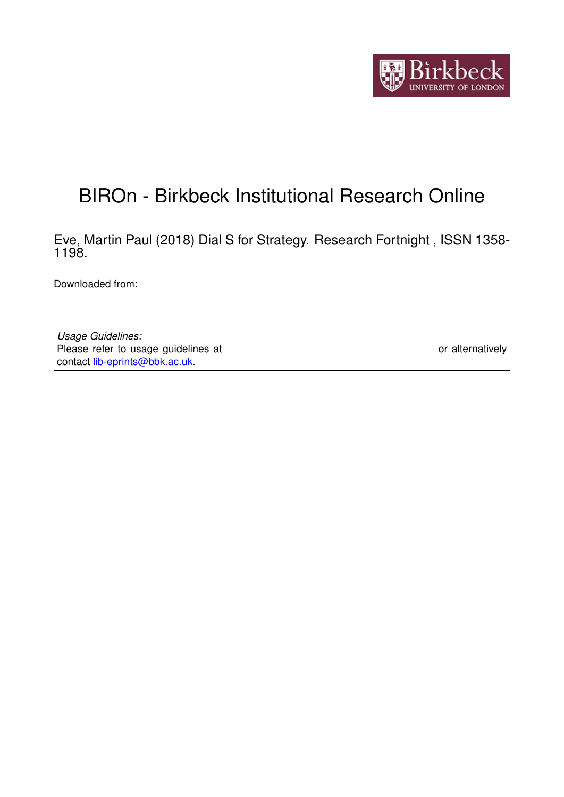

## BIROn - Birkbeck Institutional Research Online

Eve, Martin Paul (2018) Dial S for Strategy. Research Fortnight , ISSN 1358- 1198.

Downloaded from: <https://eprints.bbk.ac.uk/id/eprint/23819/>

*Usage Guidelines:* Please refer to usage guidelines at <https://eprints.bbk.ac.uk/policies.html> or alternatively contact [lib-eprints@bbk.ac.uk.](mailto:lib-eprints@bbk.ac.uk)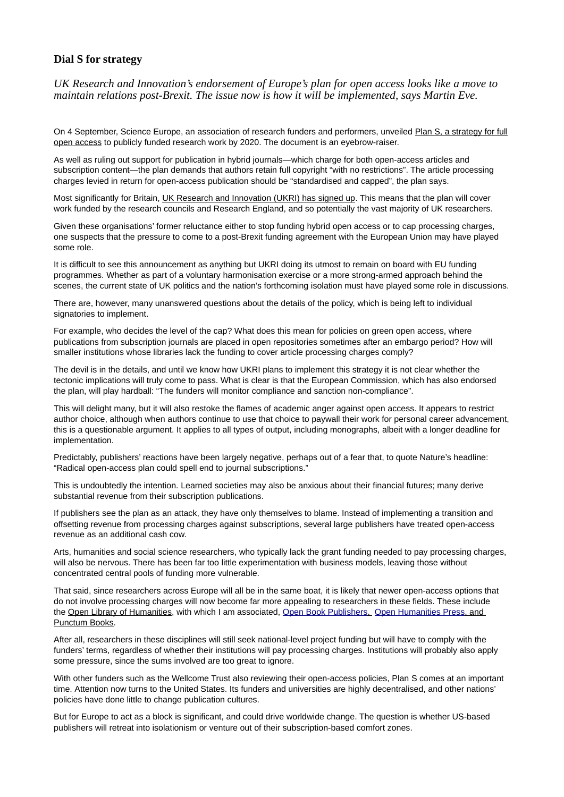## **Dial S for strategy**

*UK Research and Innovation's endorsement of Europe's plan for open access looks like a move to maintain relations post-Brexit. The issue now is how it will be implemented, says Martin Eve.*

On 4 September, Science Europe, an association of research funders and performers, unveiled [Plan S, a strategy for full](https://www.scienceeurope.org/making-open-access-a-reality-by-2020/) [open access](https://www.scienceeurope.org/making-open-access-a-reality-by-2020/) to publicly funded research work by 2020. The document is an eyebrow-raiser.

As well as ruling out support for publication in hybrid journals—which charge for both open-access articles and subscription content—the plan demands that authors retain full copyright "with no restrictions". The article processing charges levied in return for open-access publication should be "standardised and capped", the plan says.

Most significantly for Britain, [UK Research and Innovation \(UKRI\) has signed up.](https://www.researchprofessional.com/0/rr/news/uk/research-councils/2018/9/plan-s-ukri-joins-european-open-access-revolution.html) This means that the plan will cover work funded by the research councils and Research England, and so potentially the vast majority of UK researchers.

Given these organisations' former reluctance either to stop funding hybrid open access or to cap processing charges, one suspects that the pressure to come to a post-Brexit funding agreement with the European Union may have played some role.

It is difficult to see this announcement as anything but UKRI doing its utmost to remain on board with EU funding programmes. Whether as part of a voluntary harmonisation exercise or a more strong-armed approach behind the scenes, the current state of UK politics and the nation's forthcoming isolation must have played some role in discussions.

There are, however, many unanswered questions about the details of the policy, which is being left to individual signatories to implement.

For example, who decides the level of the cap? What does this mean for policies on green open access, where publications from subscription journals are placed in open repositories sometimes after an embargo period? How will smaller institutions whose libraries lack the funding to cover article processing charges comply?

The devil is in the details, and until we know how UKRI plans to implement this strategy it is not clear whether the tectonic implications will truly come to pass. What is clear is that the European Commission, which has also endorsed the plan, will play hardball: "The funders will monitor compliance and sanction non-compliance".

This will delight many, but it will also restoke the flames of academic anger against open access. It appears to restrict author choice, although when authors continue to use that choice to paywall their work for personal career advancement, this is a questionable argument. It applies to all types of output, including monographs, albeit with a longer deadline for implementation.

Predictably, publishers' reactions have been largely negative, perhaps out of a fear that, to quote Nature's headline: "Radical open-access plan could spell end to journal subscriptions."

This is undoubtedly the intention. Learned societies may also be anxious about their financial futures; many derive substantial revenue from their subscription publications.

If publishers see the plan as an attack, they have only themselves to blame. Instead of implementing a transition and offsetting revenue from processing charges against subscriptions, several large publishers have treated open-access revenue as an additional cash cow.

Arts, humanities and social science researchers, who typically lack the grant funding needed to pay processing charges, will also be nervous. There has been far too little experimentation with business models, leaving those without concentrated central pools of funding more vulnerable.

That said, since researchers across Europe will all be in the same boat, it is likely that newer open-access options that do not involve processing charges will now become far more appealing to researchers in these fields. These include the [Open Library of Humanities,](https://www.openlibhums.org/) with which I am associated, Open Book Publishers, Open Humanities Press, and Punctum Books.

After all, researchers in these disciplines will still seek national-level project funding but will have to comply with the funders' terms, regardless of whether their institutions will pay processing charges. Institutions will probably also apply some pressure, since the sums involved are too great to ignore.

With other funders such as the Wellcome Trust also reviewing their open-access policies, Plan S comes at an important time. Attention now turns to the United States. Its funders and universities are highly decentralised, and other nations' policies have done little to change publication cultures.

But for Europe to act as a block is significant, and could drive worldwide change. The question is whether US-based publishers will retreat into isolationism or venture out of their subscription-based comfort zones.